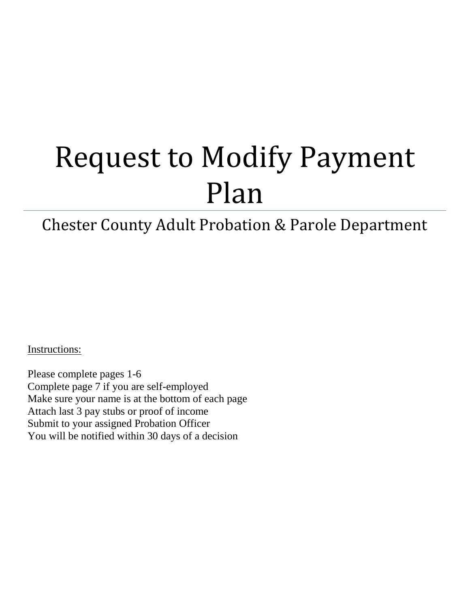# Request to Modify Payment Plan

# Chester County Adult Probation & Parole Department

Instructions:

Please complete pages 1-6 Complete page 7 if you are self-employed Make sure your name is at the bottom of each page Attach last 3 pay stubs or proof of income Submit to your assigned Probation Officer You will be notified within 30 days of a decision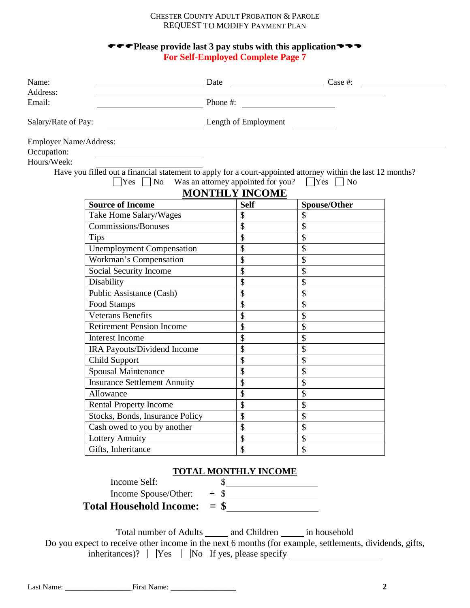# **PLEASE PROVIDE LAST 3 pay stubs with this application For Self-Employed Complete Page 7**

| Name:                  |                                     | Date                               |                 | Case #:                                                                                                              |  |
|------------------------|-------------------------------------|------------------------------------|-----------------|----------------------------------------------------------------------------------------------------------------------|--|
| Address:<br>Email:     |                                     | Phone #:                           |                 | <u> 1980 - Jan Barbara Barbara, prima popular popular popular popular popular popular popular popular popular po</u> |  |
| Salary/Rate of Pay:    | Length of Employment                |                                    |                 |                                                                                                                      |  |
| Employer Name/Address: |                                     |                                    |                 |                                                                                                                      |  |
| Occupation:            |                                     |                                    |                 |                                                                                                                      |  |
| Hours/Week:            |                                     |                                    |                 |                                                                                                                      |  |
|                        |                                     |                                    |                 | Have you filled out a financial statement to apply for a court-appointed attorney within the last 12 months?         |  |
|                        | $\Box$ Yes $\Box$ No                | Was an attorney appointed for you? |                 | $\Box$ Yes $\Box$ No                                                                                                 |  |
|                        |                                     | <b>MONTHLY INCOME</b>              |                 |                                                                                                                      |  |
|                        | <b>Source of Income</b>             |                                    | <b>Self</b>     | Spouse/Other                                                                                                         |  |
|                        | Take Home Salary/Wages              |                                    | \$              | \$                                                                                                                   |  |
|                        | <b>Commissions/Bonuses</b>          |                                    | \$              | \$                                                                                                                   |  |
|                        | <b>Tips</b>                         |                                    | \$              | \$                                                                                                                   |  |
|                        | <b>Unemployment Compensation</b>    |                                    | \$              | \$                                                                                                                   |  |
|                        | Workman's Compensation              |                                    | \$              | \$                                                                                                                   |  |
|                        | Social Security Income              |                                    | \$              | \$                                                                                                                   |  |
|                        | Disability                          |                                    | \$              | \$                                                                                                                   |  |
|                        | Public Assistance (Cash)            |                                    | \$              | \$                                                                                                                   |  |
|                        | Food Stamps                         |                                    | \$              | \$                                                                                                                   |  |
|                        | <b>Veterans Benefits</b>            |                                    | \$              | \$                                                                                                                   |  |
|                        | <b>Retirement Pension Income</b>    |                                    | \$              | \$                                                                                                                   |  |
|                        | <b>Interest Income</b>              |                                    | \$              | \$                                                                                                                   |  |
|                        | IRA Payouts/Dividend Income         |                                    | \$              | \$                                                                                                                   |  |
|                        | Child Support                       |                                    | \$              | \$                                                                                                                   |  |
|                        | Spousal Maintenance                 |                                    | \$              | \$                                                                                                                   |  |
|                        | <b>Insurance Settlement Annuity</b> |                                    | \$              | \$                                                                                                                   |  |
|                        | Allowance                           |                                    | \$              | \$                                                                                                                   |  |
|                        | <b>Rental Property Income</b>       |                                    | \$              | \$                                                                                                                   |  |
|                        | Stocks, Bonds, Insurance Policy     |                                    | $\overline{\$}$ | \$                                                                                                                   |  |
|                        | Cash owed to you by another         |                                    | \$              | \$                                                                                                                   |  |
|                        | Lottery Annuity                     |                                    | \$              | \$                                                                                                                   |  |
|                        | Gifts, Inheritance                  |                                    | \$              | \$                                                                                                                   |  |
|                        |                                     |                                    |                 |                                                                                                                      |  |
|                        |                                     | <b>TOTAL MONTHLY INCOME</b>        |                 |                                                                                                                      |  |
|                        | Income Self:                        | \$                                 |                 |                                                                                                                      |  |
|                        | Income Spouse/Other:                |                                    |                 | $+$ \$                                                                                                               |  |
|                        | <b>Total Household Income:</b>      |                                    |                 | $=$ \$                                                                                                               |  |

Total number of Adults \_\_\_\_\_\_ and Children \_\_\_\_\_\_ in household Do you expect to receive other income in the next 6 months (for example, settlements, dividends, gifts, inheritances)?  $\Box$  Yes  $\Box$  No If yes, please specify  $\Box$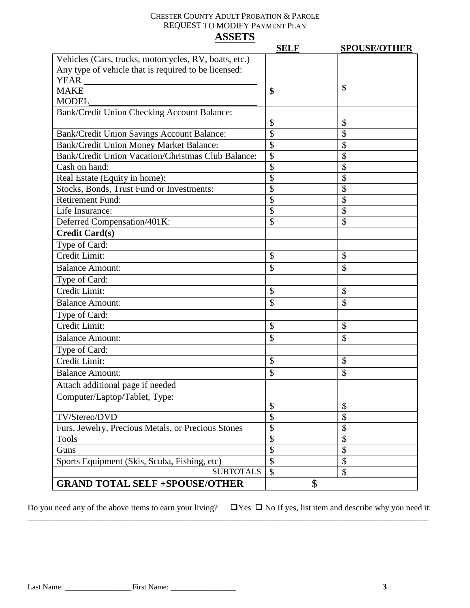|                                                       | <b>SELF</b>   | <b>SPOUSE/OTHER</b> |
|-------------------------------------------------------|---------------|---------------------|
| Vehicles (Cars, trucks, motorcycles, RV, boats, etc.) |               |                     |
| Any type of vehicle that is required to be licensed:  |               |                     |
|                                                       |               |                     |
| <b>MAKE</b>                                           | \$            | \$                  |
| <b>MODEL</b>                                          |               |                     |
| Bank/Credit Union Checking Account Balance:           |               |                     |
|                                                       | \$            | \$                  |
| Bank/Credit Union Savings Account Balance:            | \$            | \$                  |
| Bank/Credit Union Money Market Balance:               | \$            | \$                  |
| Bank/Credit Union Vacation/Christmas Club Balance:    | \$            | \$                  |
| Cash on hand:                                         | \$            | \$                  |
| Real Estate (Equity in home):                         | \$            | \$                  |
| Stocks, Bonds, Trust Fund or Investments:             | \$            | \$                  |
| <b>Retirement Fund:</b>                               | \$            | \$                  |
| Life Insurance:                                       | \$            | \$                  |
| Deferred Compensation/401K:                           | \$            | \$                  |
| <b>Credit Card(s)</b>                                 |               |                     |
| Type of Card:                                         |               |                     |
| Credit Limit:                                         | \$            | \$                  |
| <b>Balance Amount:</b>                                | \$            | \$                  |
| Type of Card:                                         |               |                     |
| Credit Limit:                                         | \$            | \$                  |
| <b>Balance Amount:</b>                                | \$            | \$                  |
| Type of Card:                                         |               |                     |
| Credit Limit:                                         | \$            | \$                  |
| <b>Balance Amount:</b>                                | \$            | \$                  |
| Type of Card:                                         |               |                     |
| Credit Limit:                                         | \$            | \$                  |
| <b>Balance Amount:</b>                                | \$            | \$                  |
| Attach additional page if needed                      |               |                     |
| Computer/Laptop/Tablet, Type:                         |               |                     |
|                                                       | \$            | \$                  |
| TV/Stereo/DVD                                         | \$            | \$                  |
| Furs, Jewelry, Precious Metals, or Precious Stones    | \$            | \$                  |
| <b>Tools</b>                                          | \$            | \$                  |
| Guns                                                  | \$            | \$                  |
| Sports Equipment (Skis, Scuba, Fishing, etc)          | \$            | \$                  |
| <b>SUBTOTALS</b>                                      | $\mathcal{S}$ | \$                  |
| <b>GRAND TOTAL SELF +SPOUSE/OTHER</b>                 | \$            |                     |

Do you need any of the above items to earn your living?  $\Box$  Yes  $\Box$  No If yes, list item and describe why you need it:

\_\_\_\_\_\_\_\_\_\_\_\_\_\_\_\_\_\_\_\_\_\_\_\_\_\_\_\_\_\_\_\_\_\_\_\_\_\_\_\_\_\_\_\_\_\_\_\_\_\_\_\_\_\_\_\_\_\_\_\_\_\_\_\_\_\_\_\_\_\_\_\_\_\_\_\_\_\_\_\_\_\_\_\_\_\_\_\_\_\_\_\_\_\_\_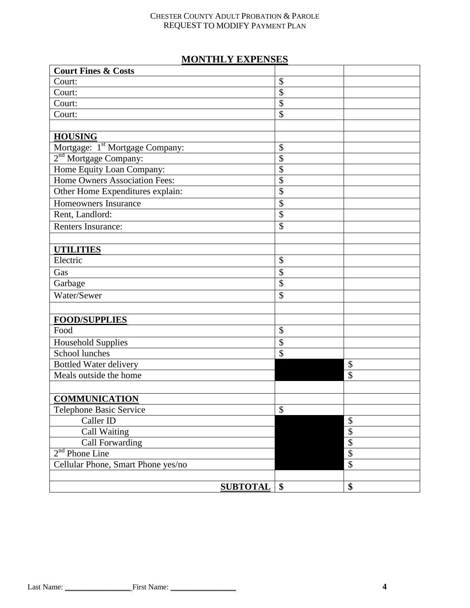# **MONTHLY EXPENSES**

| <b>Court Fines &amp; Costs</b>              |                 |                 |
|---------------------------------------------|-----------------|-----------------|
| Court:                                      | \$              |                 |
| Court:                                      | \$              |                 |
| Court:                                      | \$              |                 |
| Court:                                      | \$              |                 |
|                                             |                 |                 |
| <b>HOUSING</b>                              |                 |                 |
| Mortgage: 1 <sup>st</sup> Mortgage Company: | \$              |                 |
| 2 <sup>nd</sup> Mortgage Company:           | \$              |                 |
| Home Equity Loan Company:                   | \$              |                 |
| Home Owners Association Fees:               | \$              |                 |
| Other Home Expenditures explain:            | \$              |                 |
| Homeowners Insurance                        | \$              |                 |
| Rent, Landlord:                             | \$              |                 |
| Renters Insurance:                          | \$              |                 |
|                                             |                 |                 |
| <b>UTILITIES</b>                            |                 |                 |
| Electric                                    | \$              |                 |
| Gas                                         | \$              |                 |
| Garbage                                     | \$              |                 |
| Water/Sewer                                 | \$              |                 |
|                                             |                 |                 |
| <b>FOOD/SUPPLIES</b>                        |                 |                 |
| Food                                        | \$              |                 |
| <b>Household Supplies</b>                   | \$              |                 |
| School lunches                              | $\overline{\$}$ |                 |
| <b>Bottled Water delivery</b>               |                 | \$              |
| Meals outside the home                      |                 | \$              |
|                                             |                 |                 |
| <b>COMMUNICATION</b>                        |                 |                 |
| Telephone Basic Service                     | \$              |                 |
| Caller ID                                   |                 | \$              |
| Call Waiting                                |                 | $\overline{\$}$ |
| <b>Call Forwarding</b>                      |                 | $\overline{\$}$ |
| $2nd$ Phone Line                            |                 | $\overline{\$}$ |
| Cellular Phone, Smart Phone yes/no          |                 | \$              |
|                                             |                 |                 |
| <b>SUBTOTAL</b>                             | \$              | \$              |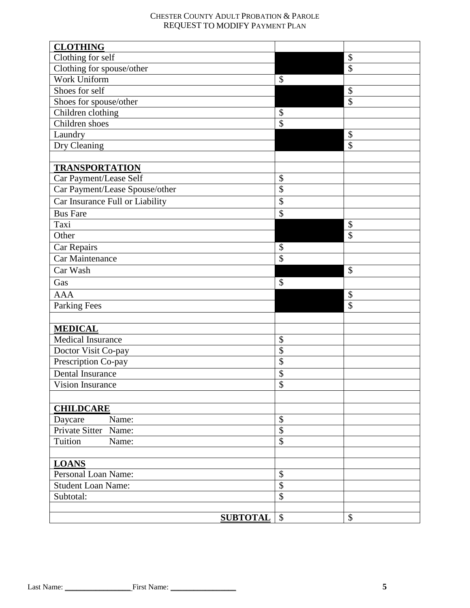| <b>CLOTHING</b>                 |                           |                            |
|---------------------------------|---------------------------|----------------------------|
| Clothing for self               |                           | \$                         |
| Clothing for spouse/other       |                           | $\overline{\$}$            |
| <b>Work Uniform</b>             | \$                        |                            |
| Shoes for self                  |                           | $\boldsymbol{\mathsf{S}}$  |
| Shoes for spouse/other          |                           | $\boldsymbol{\mathsf{\$}}$ |
| Children clothing               | \$                        |                            |
| Children shoes                  | \$                        |                            |
| Laundry                         |                           | $\boldsymbol{\mathsf{S}}$  |
| Dry Cleaning                    |                           | $\overline{\$}$            |
|                                 |                           |                            |
| <b>TRANSPORTATION</b>           |                           |                            |
| Car Payment/Lease Self          | \$                        |                            |
| Car Payment/Lease Spouse/other  | \$                        |                            |
| Car Insurance Full or Liability | \$                        |                            |
| <b>Bus Fare</b>                 | $\overline{\$}$           |                            |
| Taxi                            |                           | \$                         |
| Other                           |                           | $\overline{\mathcal{S}}$   |
| Car Repairs                     | \$                        |                            |
| Car Maintenance                 | $\overline{\mathcal{S}}$  |                            |
| Car Wash                        |                           | \$                         |
| Gas                             | \$                        |                            |
| <b>AAA</b>                      |                           | \$                         |
| <b>Parking Fees</b>             |                           | \$                         |
|                                 |                           |                            |
| <b>MEDICAL</b>                  |                           |                            |
| Medical Insurance               | \$                        |                            |
| Doctor Visit Co-pay             | \$                        |                            |
| Prescription Co-pay             | $\overline{\$}$           |                            |
| <b>Dental Insurance</b>         | \$                        |                            |
| <b>Vision Insurance</b>         | $\overline{\$}$           |                            |
|                                 |                           |                            |
| <b>CHILDCARE</b>                |                           |                            |
| Daycare<br>Name:                | \$                        |                            |
| Private Sitter<br>Name:         | $\overline{\$}$           |                            |
| Tuition<br>Name:                | $\overline{\$}$           |                            |
|                                 |                           |                            |
| <b>LOANS</b>                    |                           |                            |
| Personal Loan Name:             | \$                        |                            |
| <b>Student Loan Name:</b>       | $\overline{\$}$           |                            |
| Subtotal:                       | \$                        |                            |
|                                 |                           |                            |
| <b>SUBTOTAL</b>                 | $\boldsymbol{\mathsf{S}}$ | \$                         |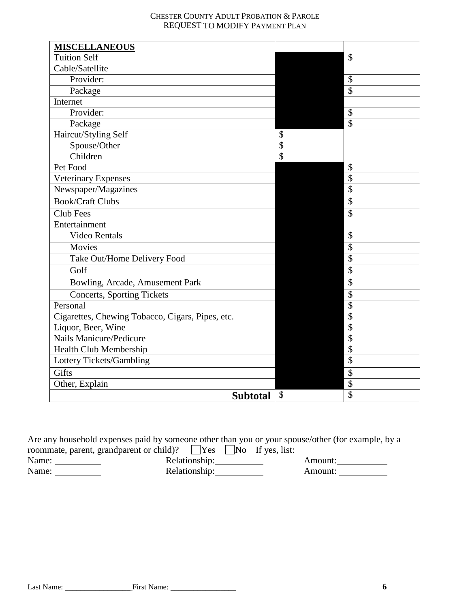| <b>MISCELLANEOUS</b>                             |               |                           |
|--------------------------------------------------|---------------|---------------------------|
| <b>Tuition Self</b>                              |               | $\mathcal{S}$             |
| Cable/Satellite                                  |               |                           |
| Provider:                                        |               | $\boldsymbol{\mathsf{S}}$ |
| Package                                          |               | $\overline{\mathcal{S}}$  |
| Internet                                         |               |                           |
| Provider:                                        |               | $\mathcal{S}$             |
| Package                                          |               | $\mathcal{S}$             |
| Haircut/Styling Self                             | \$            |                           |
| Spouse/Other                                     | \$            |                           |
| Children                                         | \$            |                           |
| Pet Food                                         |               | $\boldsymbol{\mathsf{S}}$ |
| Veterinary Expenses                              |               | $\boldsymbol{\mathsf{S}}$ |
| Newspaper/Magazines                              |               | $\boldsymbol{\mathsf{S}}$ |
| <b>Book/Craft Clubs</b>                          |               | $\boldsymbol{\mathsf{S}}$ |
| Club Fees                                        |               | $\mathcal{S}$             |
| Entertainment                                    |               |                           |
| <b>Video Rentals</b>                             |               | $\boldsymbol{\mathsf{S}}$ |
| Movies                                           |               | $\boldsymbol{\mathsf{S}}$ |
| Take Out/Home Delivery Food                      |               | \$                        |
| Golf                                             |               | $\boldsymbol{\mathsf{S}}$ |
| Bowling, Arcade, Amusement Park                  |               | $\overline{\mathcal{S}}$  |
| Concerts, Sporting Tickets                       |               | $\boldsymbol{\mathsf{S}}$ |
| Personal                                         |               | $\boldsymbol{\mathsf{S}}$ |
| Cigarettes, Chewing Tobacco, Cigars, Pipes, etc. |               | $\overline{\$}$           |
| Liquor, Beer, Wine                               |               | $\overline{\$}$           |
| <b>Nails Manicure/Pedicure</b>                   |               | $\overline{\$}$           |
| Health Club Membership                           |               | $\overline{\mathcal{S}}$  |
| Lottery Tickets/Gambling                         |               | $\overline{\$}$           |
| Gifts                                            |               | $\boldsymbol{\mathsf{S}}$ |
| Other, Explain                                   |               | $\boldsymbol{\mathsf{S}}$ |
| <b>Subtotal</b>                                  | $\mathcal{S}$ | \$                        |

Are any household expenses paid by someone other than you or your spouse/other (for example, by a roommate, parent, grandparent or child)? These No If yes, list:<br>Name: Relationship: Relationship: Relationship: Amount: Amount: Amount: Relationship: Amount: Amount: Amount: Amount: Amount: Amount: Amount: Amount: Amount: Amount: Amount: Amount: Amount: Amount: Amount: Amount: Amount: Amount: Amount: Amount: Amount: Am Relationship: 2000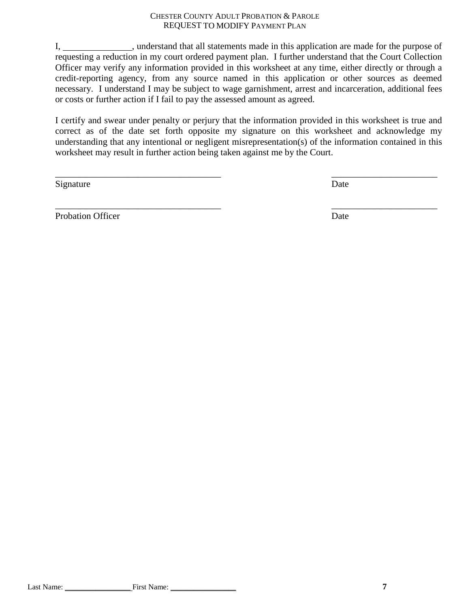I, understand that all statements made in this application are made for the purpose of requesting a reduction in my court ordered payment plan. I further understand that the Court Collection Officer may verify any information provided in this worksheet at any time, either directly or through a credit-reporting agency, from any source named in this application or other sources as deemed necessary. I understand I may be subject to wage garnishment, arrest and incarceration, additional fees or costs or further action if I fail to pay the assessed amount as agreed.

I certify and swear under penalty or perjury that the information provided in this worksheet is true and correct as of the date set forth opposite my signature on this worksheet and acknowledge my understanding that any intentional or negligent misrepresentation(s) of the information contained in this worksheet may result in further action being taken against me by the Court.

 $\overline{\phantom{a}}$  , and the contract of the contract of the contract of the contract of the contract of the contract of the contract of the contract of the contract of the contract of the contract of the contract of the contrac

 $\overline{\phantom{a}}$  , and the contract of the contract of the contract of the contract of the contract of the contract of the contract of the contract of the contract of the contract of the contract of the contract of the contrac

Signature Date

Probation Officer Date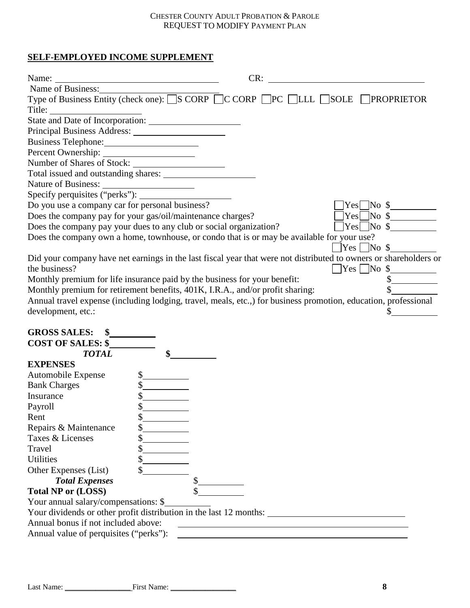# **SELF-EMPLOYED INCOME SUPPLEMENT**

| Name:<br><u> 1989 - Johann Barn, mars ann an t-Amhain Aonaich an t-Aonaich an t-Aonaich ann an t-Aonaich ann an t-Aonaich</u> | CR: |                               |                   |
|-------------------------------------------------------------------------------------------------------------------------------|-----|-------------------------------|-------------------|
| Name of Business:                                                                                                             |     |                               |                   |
| Type of Business Entity (check one): S CORP C CORP PC CLLL SOLE PROPRIETOR                                                    |     |                               |                   |
| Title:                                                                                                                        |     |                               |                   |
|                                                                                                                               |     |                               |                   |
|                                                                                                                               |     |                               |                   |
| Business Telephone:                                                                                                           |     |                               |                   |
|                                                                                                                               |     |                               |                   |
| Number of Shares of Stock:                                                                                                    |     |                               |                   |
|                                                                                                                               |     |                               |                   |
|                                                                                                                               |     |                               |                   |
|                                                                                                                               |     |                               |                   |
| Do you use a company car for personal business?                                                                               |     |                               | $\gamma$ es No \$ |
| Does the company pay for your gas/oil/maintenance charges?                                                                    |     |                               | $Yes \Box No \$   |
| Does the company pay your dues to any club or social organization?                                                            |     |                               |                   |
| Does the company own a home, townhouse, or condo that is or may be available for your use?                                    |     |                               |                   |
|                                                                                                                               |     | $\sqrt{Y}$ es $\sqrt{N_0 \$}$ |                   |
| Did your company have net earnings in the last fiscal year that were not distributed to owners or shareholders or             |     |                               |                   |
| the business?                                                                                                                 |     | $\Box$ Yes $\Box$ No \$       |                   |
| Monthly premium for life insurance paid by the business for your benefit:                                                     |     |                               |                   |
| Monthly premium for retirement benefits, 401K, I.R.A., and/or profit sharing:                                                 |     |                               |                   |
| Annual travel expense (including lodging, travel, meals, etc.,) for business promotion, education, professional               |     |                               |                   |
| development, etc.:                                                                                                            |     |                               |                   |
|                                                                                                                               |     |                               |                   |
| <b>GROSS SALES:</b>                                                                                                           |     |                               |                   |
| <b>COST OF SALES: \$</b>                                                                                                      |     |                               |                   |
| <b>TOTAL</b>                                                                                                                  |     |                               |                   |
| <b>EXPENSES</b>                                                                                                               |     |                               |                   |
| Automobile Expense                                                                                                            | \$  |                               |                   |
| <b>Bank Charges</b>                                                                                                           |     |                               |                   |
| Insurance                                                                                                                     |     |                               |                   |
| Payroll                                                                                                                       |     |                               |                   |
| Rent                                                                                                                          | \$  |                               |                   |
| Repairs & Maintenance                                                                                                         |     |                               |                   |
| Taxes & Licenses                                                                                                              | \$  |                               |                   |
| Travel                                                                                                                        | \$  |                               |                   |
| <b>Utilities</b>                                                                                                              | \$  |                               |                   |
| Other Expenses (List)                                                                                                         | \$  |                               |                   |
| <b>Total Expenses</b>                                                                                                         |     |                               |                   |
| <b>Total NP or (LOSS)</b>                                                                                                     |     |                               |                   |

<u>and the contract of the contract of the contract of the contract of the contract of the contract of the contract of</u>

Your annual salary/compensations: \$

Your dividends or other profit distribution in the last 12 months:

Annual bonus if not included above:

Annual value of perquisites ("perks"):